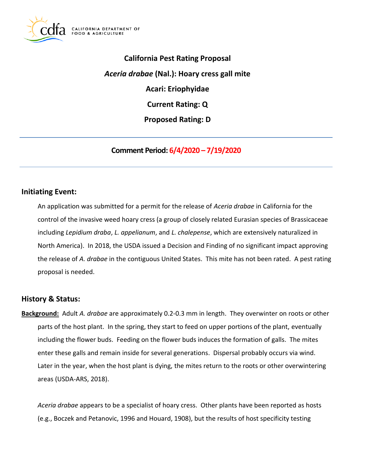

 **California Pest Rating Proposal**  *Aceria drabae* **(Nal.): Hoary cress gall mite Current Rating: Q Acari: Eriophyidae Proposed Rating: D** 

**Comment Period: 6/4/2020 – 7/19/2020**

## **Initiating Event:**

 An application was submitted for a permit for the release of *Aceria drabae* in California for the control of the invasive weed hoary cress (a group of closely related Eurasian species of Brassicaceae including *Lepidium draba*, *L. appelianum*, and *L. chalepense*, which are extensively naturalized in North America). In 2018, the USDA issued a Decision and Finding of no significant impact approving the release of *A. drabae* in the contiguous United States. This mite has not been rated. A pest rating proposal is needed.

# **History & Status:**

 **Background:** Adult *A. drabae* are approximately 0.2-0.3 mm in length. They overwinter on roots or other parts of the host plant. In the spring, they start to feed on upper portions of the plant, eventually including the flower buds. Feeding on the flower buds induces the formation of galls. The mites enter these galls and remain inside for several generations. Dispersal probably occurs via wind. Later in the year, when the host plant is dying, the mites return to the roots or other overwintering areas (USDA-ARS, 2018).

 *Aceria drabae* appears to be a specialist of hoary cress. Other plants have been reported as hosts (e.g., Boczek and Petanovic, 1996 and Houard, 1908), but the results of host specificity testing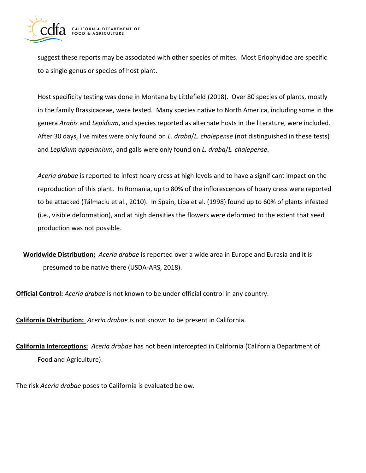

 suggest these reports may be associated with other species of mites. Most Eriophyidae are specific to a single genus or species of host plant.

 Host specificity testing was done in Montana by Littlefield (2018). Over 80 species of plants, mostly in the family Brassicaceae, were tested. Many species native to North America, including some in the After 30 days, live mites were only found on *L. draba*/*L. chalepense* (not distinguished in these tests) and *Lepidium appelanium*, and galls were only found on *L. draba*/*L. chalepense*. genera *Arabis* and *Lepidium*, and species reported as alternate hosts in the literature, were included.

 *Aceria drabae* is reported to infest hoary cress at high levels and to have a significant impact on the reproduction of this plant. In Romania, up to 80% of the inflorescences of hoary cress were reported to be attacked (Tălmaciu et al., 2010). In Spain, Lipa et al. (1998) found up to 60% of plants infested (i.e., visible deformation), and at high densities the flowers were deformed to the extent that seed production was not possible.

 **Worldwide Distribution:** *Aceria drabae* is reported over a wide area in Europe and Eurasia and it is presumed to be native there (USDA-ARS, 2018).

**Official Control:** *Aceria drabae* is not known to be under official control in any country.

**California Distribution:** *Aceria drabae* is not known to be present in California.

 **California Interceptions:** *Aceria drabae* has not been intercepted in California (California Department of Food and Agriculture).

The risk *Aceria drabae* poses to California is evaluated below.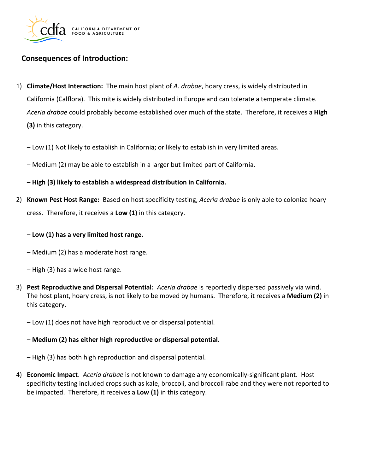

# **Consequences of Introduction:**

- 1) **Climate/Host Interaction:** The main host plant of *A. drabae*, hoary cress, is widely distributed in California (Calflora). This mite is widely distributed in Europe and can tolerate a temperate climate. *Aceria drabae* could probably become established over much of the state. Therefore, it receives a **High (3)** in this category.
	- Low (1) Not likely to establish in California; or likely to establish in very limited areas.
	- Medium (2) may be able to establish in a larger but limited part of California.
	- **– High (3) likely to establish a widespread distribution in California.**
- 2) **Known Pest Host Range:** Based on host specificity testing, *Aceria drabae* is only able to colonize hoary cress. Therefore, it receives a **Low (1)** in this category.

#### **– Low (1) has a very limited host range.**

- Medium (2) has a moderate host range.
- High (3) has a wide host range.
- 3) **Pest Reproductive and Dispersal Potential:** *Aceria drabae* is reportedly dispersed passively via wind. The host plant, hoary cress, is not likely to be moved by humans. Therefore, it receives a **Medium (2)** in this category.
	- Low (1) does not have high reproductive or dispersal potential.

#### **– Medium (2) has either high reproductive or dispersal potential.**

– High (3) has both high reproduction and dispersal potential.

 4) **Economic Impact**. *Aceria drabae* is not known to damage any economically-significant plant. Host specificity testing included crops such as kale, broccoli, and broccoli rabe and they were not reported to be impacted. Therefore, it receives a **Low (1)** in this category.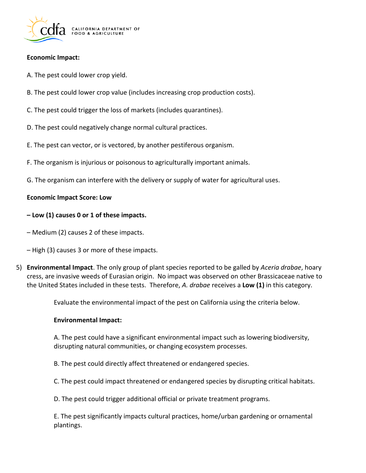

### **Economic Impact:**

- A. The pest could lower crop yield.
- B. The pest could lower crop value (includes increasing crop production costs).
- C. The pest could trigger the loss of markets (includes quarantines).
- D. The pest could negatively change normal cultural practices.
- E. The pest can vector, or is vectored, by another pestiferous organism.
- F. The organism is injurious or poisonous to agriculturally important animals.
- G. The organism can interfere with the delivery or supply of water for agricultural uses.

### **Economic Impact Score: Low**

### **– Low (1) causes 0 or 1 of these impacts.**

- Medium (2) causes 2 of these impacts.
- High (3) causes 3 or more of these impacts.
- 5) **Environmental Impact**. The only group of plant species reported to be galled by *Aceria drabae*, hoary cress, are invasive weeds of Eurasian origin. No impact was observed on other Brassicaceae native to the United States included in these tests. Therefore, *A. drabae* receives a **Low (1)** in this category.

Evaluate the environmental impact of the pest on California using the criteria below.

#### **Environmental Impact:**

 A. The pest could have a significant environmental impact such as lowering biodiversity, disrupting natural communities, or changing ecosystem processes.

B. The pest could directly affect threatened or endangered species.

C. The pest could impact threatened or endangered species by disrupting critical habitats.

D. The pest could trigger additional official or private treatment programs.

 E. The pest significantly impacts cultural practices, home/urban gardening or ornamental plantings.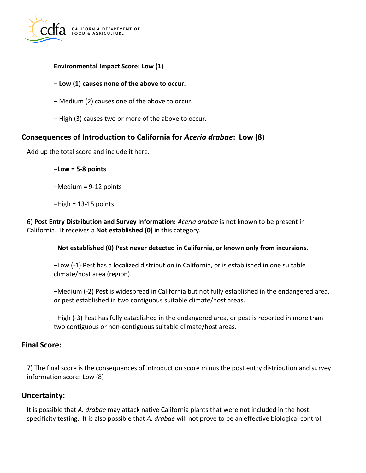

### **Environmental Impact Score: Low (1)**

## **– Low (1) causes none of the above to occur.**

- Medium (2) causes one of the above to occur.
- High (3) causes two or more of the above to occur.

# **Consequences of Introduction to California for** *Aceria drabae***: Low (8)**

Add up the total score and include it here.

#### **–Low = 5-8 points**

–Medium = 9-12 points

 $-High = 13-15$  points

 6) **Post Entry Distribution and Survey Information:** *Aceria drabae* is not known to be present in California. It receives a **Not established (0)** in this category.

#### **–Not established (0) Pest never detected in California, or known only from incursions.**

 –Low (-1) Pest has a localized distribution in California, or is established in one suitable climate/host area (region).

 –Medium (-2) Pest is widespread in California but not fully established in the endangered area, or pest established in two contiguous suitable climate/host areas.

 –High (-3) Pest has fully established in the endangered area, or pest is reported in more than two contiguous or non-contiguous suitable climate/host areas.

## **Final Score:**

 7) The final score is the consequences of introduction score minus the post entry distribution and survey information score: Low (8)

# **Uncertainty:**

 It is possible that *A. drabae* may attack native California plants that were not included in the host specificity testing. It is also possible that *A. drabae* will not prove to be an effective biological control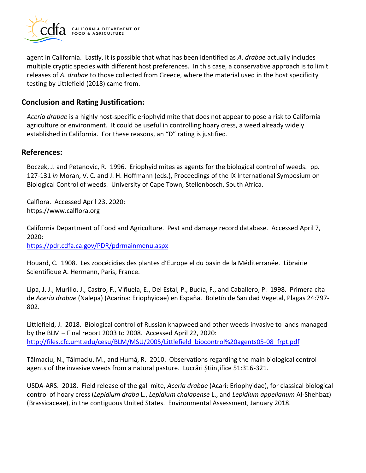

 agent in California. Lastly, it is possible that what has been identified as *A. drabae* actually includes multiple cryptic species with different host preferences. In this case, a conservative approach is to limit releases of *A. drabae* to those collected from Greece, where the material used in the host specificity testing by Littlefield (2018) came from.

# **Conclusion and Rating Justification:**

 *Aceria drabae* is a highly host-specific eriophyid mite that does not appear to pose a risk to California agriculture or environment. It could be useful in controlling hoary cress, a weed already widely established in California. For these reasons, an "D" rating is justified.

## **References:**

 Boczek, J. and Petanovic, R. 1996. Eriophyid mites as agents for the biological control of weeds. pp. 127-131 *in* Moran, V. C. and J. H. Hoffmann (eds.), Proceedings of the IX International Symposium on Biological Control of weeds. University of Cape Town, Stellenbosch, South Africa.

Calflora. Accessed April 23, 2020: <https://www.calflora.org>

 California Department of Food and Agriculture. Pest and damage record database. Accessed April 7, 2020:

<https://pdr.cdfa.ca.gov/PDR/pdrmainmenu.aspx>

 Houard, C. 1908. Les zoocécidies des plantes d'Europe el du basin de la Méditerranée. Librairie Scientifique A. Hermann, Paris, France.

 Lipa, J. J., Murillo, J., Castro, F., Viñuela, E., Del Estal, P., Budía, F., and Caballero, P. 1998. Primera cita de *Aceria drabae* (Nalepa) (Acarina: Eriophyidae) en España. Boletín de Sanidad Vegetal, Plagas 24:797- 802.

 Littlefield, J. 2018. Biological control of Russian knapweed and other weeds invasive to lands managed by the BLM – Final report 2003 to 2008. Accessed April 22, 2020: [http://files.cfc.umt.edu/cesu/BLM/MSU/2005/Littlefield\\_biocontrol%20agents05-08\\_frpt.pdf](http://files.cfc.umt.edu/cesu/BLM/MSU/2005/Littlefield_biocontrol%20agents05-08_frpt.pdf) 

 Tălmaciu, N., Tălmaciu, M., and Humă, R. 2010. Observations regarding the main biological control agents of the invasive weeds from a natural pasture. Lucrări Ştiinţifice 51:316-321.

 USDA-ARS. 2018. Field release of the gall mite, *Aceria drabae* (Acari: Eriophyidae), for classical biological control of hoary cress (*Lepidium draba* L., *Lepidium chalapense* L., and *Lepidium appelianum* Al-Shehbaz) (Brassicaceae), in the contiguous United States. Environmental Assessment, January 2018.